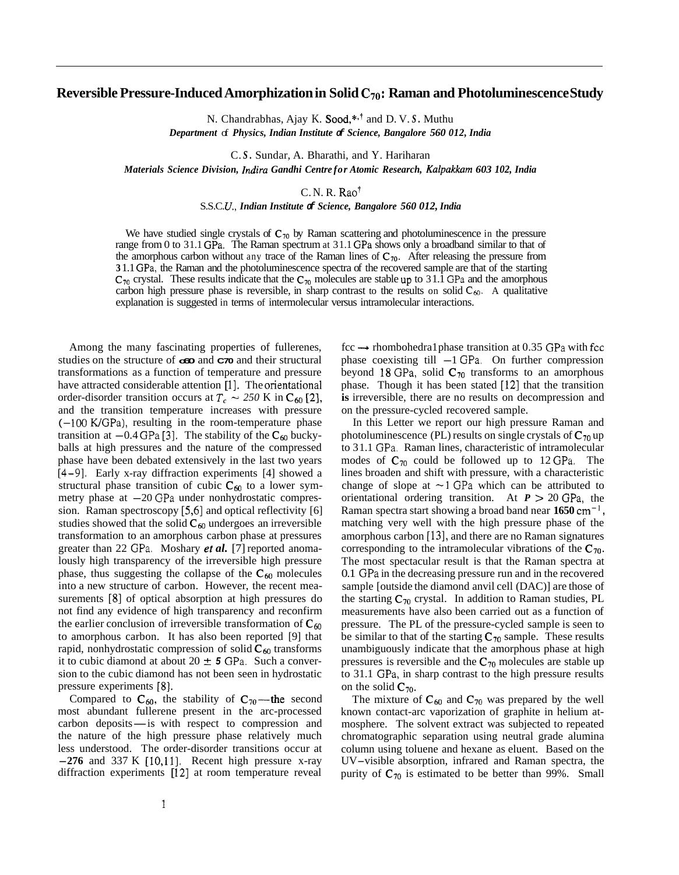## Reversible Pressure-Induced Amorphization in Solid C<sub>70</sub>: Raman and Photoluminescence Study

N. Chandrabhas, Ajay K. Sood,\*<sup>1</sup> and D. V. *S*. Muthu

*Department* of *Physics, Indian Institute of Science, Bangalore 560 012, India* 

C. *S.* Sundar, A. Bharathi, and Y. Hariharan

*Materials Science Division, Indira Gandhi Centre for Atomic Research, Kalpakkarn 603 102, India* 

C. N. R. Rao'

S.S.C. *U., Indian Institute of Science, Bangalore 560 012, India* 

We have studied single crystals of  $C_{70}$  by Raman scattering and photoluminescence in the pressure range from 0 to 3 1.1 GPa. The Raman spectrum at 3 1.1 GPa shows only a broadband similar to that of the amorphous carbon without any trace of the Raman lines of  $C_{70}$ . After releasing the pressure from **3** 1.1 GPa, the Raman and the photoluminescence spectra of the recovered sample are that of the starting  $C_{70}$  crystal. These results indicate that the  $C_{70}$  molecules are stable up to 31.1 GPa and the amorphous carbon high pressure phase is reversible, in sharp contrast to the results on solid  $C_{60}$ . A qualitative explanation is suggested in terms of intermolecular versus intramolecular interactions.

Among the many fascinating properties of fullerenes, studies on the structure of **c60** and **C70** and their structural transformations as a function of temperature and pressure have attracted considerable attention [1]. The orientational order-disorder transition occurs at  $T_c \sim 250$  K in C<sub>60</sub> [2], and the transition temperature increases with pressure  $(-100 \text{ K/GPa})$ , resulting in the room-temperature phase  $(-100 \text{ K/GPa})$ , resulting in the room-temperature phase transition at  $-0.4 \text{ GPa}$  [3]. The stability of the  $C_{60}$  buckyballs at high pressures and the nature of the compressed phase have been debated extensively in the last two years [4-91. Early x-ray diffraction experiments [4] showed a structural phase transition of cubic  $C_{60}$  to a lower sym-<br>metry phase at  $-20$  GPa under nonhydrostatic compression. Raman spectroscopy *[5,6]* and optical reflectivity [6] studies showed that the solid  $C_{60}$  undergoes an irreversible transformation to an amorphous carbon phase at pressures greater than 22 GPa. Moshary *el al.* [7] reported anomalously high transparency of the irreversible high pressure phase, thus suggesting the collapse of the  $C_{60}$  molecules into a new structure of carbon. However, the recent measurements [8] of optical absorption at high pressures do not find any evidence of high transparency and reconfirm the earlier conclusion of irreversible transformation of  $C_{60}$ to amorphous carbon. It has also been reported [9] that rapid, nonhydrostatic compression of solid  $C_{60}$  transforms it to cubic diamond at about  $20 \pm 5$  GPa. Such a conversion to the cubic diamond has not been seen in hydrostatic pressure experiments **[8].** 

Compared to  $C_{60}$ , the stability of  $C_{70}$ —the second most abundant fullerene present in the arc-processed carbon deposits—is with respect to compression and the other of the state of the state of the state of the stat most abundant fullerene present in the arc-processed the nature of the high pressure phase relatively much less understood. The order-disorder transitions occur at **-276** and 337 K [10,11]. Recent high pressure x-ray diffraction experiments [12] at room temperature reveal

fcc → rhombohedra1 phase transition at 0.35 GPa with fcc phase coexisting till -1 GPa. On further compression beyond 18 GPa, solid  $C_{70}$  transforms to an amorphous phase. Though it has been stated [12] that the transition **is** irreversible, there are no results on decompression and on the pressure-cycled recovered sample.

In this Letter we report our high pressure Raman and photoluminescence (PL) results on single crystals of  $C_{70}$  up to 3 1.1 GPa. Raman lines, characteristic of intramolecular modes of  $C_{70}$  could be followed up to 12 GPa. The lines broaden and shift with pressure, with a characteristic change of slope at  $\sim$ 1 GPa which can be attributed to orientational ordering transition. At  $P > 20$  GPa, the Raman spectra start showing a broad band near **1650** cm-' , matching very well with the high pressure phase of the amorphous carbon [13], and there are no Raman signatures corresponding to the intramolecular vibrations of the  $C_{70}$ . The most spectacular result is that the Raman spectra at 0.1 GPa in the decreasing pressure run and in the recovered sample [outside the diamond anvil cell (DAC)] are those of the starting  $C_{70}$  crystal. In addition to Raman studies, PL measurements have also been carried out as a function of pressure. The PL of the pressure-cycled sample is seen to be similar to that of the starting  $C_{70}$  sample. These results unambiguously indicate that the amorphous phase at high pressures is reversible and the **C70** molecules are stable up to 31.1 GPa, in sharp contrast to the high pressure results on the solid  $C_{70}$ .

The mixture of  $C_{60}$  and  $C_{70}$  was prepared by the well known contact-arc vaporization of graphite in helium atmosphere. The solvent extract was subjected to repeated chromatographic separation using neutral grade alumina column using toluene and hexane as eluent. Based on the UV-visible absorption, infrared and Raman spectra, the purity of  $C_{70}$  is estimated to be better than 99%. Small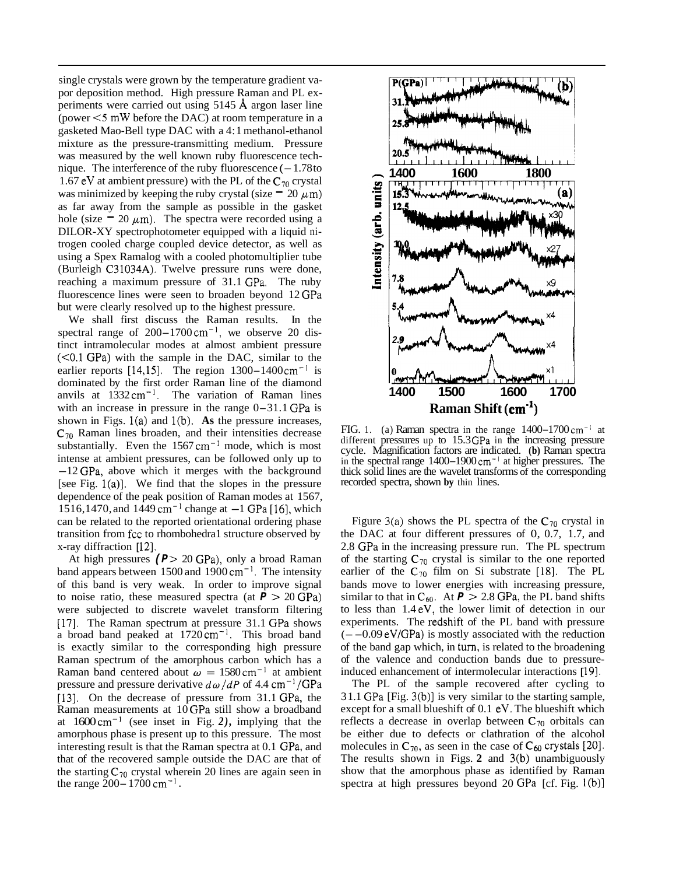single crystals were grown by the temperature gradient vapor deposition method. High pressure Raman and PL experiments were carried out using 5145 **A** argon laser line (power *<5* mW before the DAC) at room temperature in a gasketed Mao-Bell type DAC with a 4: 1 methanol-ethanol mixture as the pressure-transmitting medium. Pressure was measured by the well known ruby fluorescence technique. The interference of the ruby fluorescence  $(-1.78$ to 1.67 eV at ambient pressure) with the PL of the  $C_{70}$  crystal was minimized by keeping the ruby crystal (size  $= 20 \mu m$ ) as far away from the sample as possible in the gasket hole (size  $= 20 \mu m$ ). The spectra were recorded using a DILOR-XY spectrophotometer equipped with a liquid nitrogen cooled charge coupled device detector, as well as using a Spex Ramalog with a cooled photomultiplier tube (Burleigh C31034A). Twelve pressure runs were done, reaching a maximum pressure of 31.1 GPa. The ruby fluorescence lines were seen to broaden beyond 12 GPa but were clearly resolved up to the highest pressure.

We shall first discuss the Raman results. In the spectral range of  $200-1700 \text{ cm}^{-1}$ , we observe 20 distinct intramolecular modes at almost ambient pressure (<0.1 GPa) with the sample in the DAC, similar to the earlier reports [14,15]. The region  $1300-1400 \text{ cm}^{-1}$  is dominated by the first order Raman line of the diamond anvils at  $1332 \text{ cm}^{-1}$ . The variation of Raman lines with an increase in pressure in the range  $0-31.1$  GPa is shown in Figs. l(a) and l(b). **As** the pressure increases, **C70** Raman lines broaden, and their intensities decrease substantially. Even the  $1567 \text{ cm}^{-1}$  mode, which is most intense at ambient pressures, can be followed only up to  $-12$  GPa, above which it merges with the background [see Fig. l(a)]. We find that the slopes in the pressure dependence of the peak position of Raman modes at 1567, 1516,1470, and  $1449 \text{ cm}^{-1}$  change at  $-1$  GPa [16], which can be related to the reported orientational ordering phase transition from fcc to rhombohedra1 structure observed by x-ray diffraction [12].

At high pressures ( $P > 20$  GPa), only a broad Raman band appears between  $1500$  and  $1900 \text{ cm}^{-1}$ . The intensity of this band is very weak. In order to improve signal to noise ratio, these measured spectra (at  $P > 20$  GPa) were subjected to discrete wavelet transform filtering [17]. The Raman spectrum at pressure 31.1 GPa shows a broad band peaked at 1720 cm<sup>-1</sup>. This broad band is exactly similar to the corresponding high pressure Raman spectrum of the amorphous carbon which has a Raman band centered about  $\omega = 1580 \text{ cm}^{-1}$  at ambient pressure and pressure derivative  $d\omega/dP$  of 4.4 cm<sup>-1</sup>/GPa [13]. On the decrease of pressure from 31.1 GPa, the Raman measurements at 10 GPa still show a broadband at 1600 cm-' (see inset in Fig. *2),* implying that the amorphous phase is present up to this pressure. The most interesting result is that the Raman spectra at 0.1 GPa, and that of the recovered sample outside the DAC are that of the starting  $C_{70}$  crystal wherein 20 lines are again seen in the range  $200 - 1700$  cm<sup>-1</sup>.



FIG. 1. (a) Raman spectra in the range  $1400-1700$  cm<sup>-1</sup> at different pressures up to 15.3 GPa in the increasing pressure cycle. Magnification factors are indicated. **(b)** Raman spectra in the spectral range 1400-1900 cm<sup>-1</sup> at higher pressures. The thick solid lines are the wavelet transforms of the corresponding recorded spectra, shown **by** thin lines.

Figure 3(a) shows the PL spectra of the  $C_{70}$  crystal in the DAC at four different pressures of 0, 0.7, 1.7, and 2.8 GPa in the increasing pressure run. The PL spectrum of the starting  $C_{70}$  crystal is similar to the one reported earlier of the  $C_{70}$  film on Si substrate [18]. The PL bands move to lower energies with increasing pressure, similar to that in  $C_{60}$ . At  $P > 2.8$  GPa, the PL band shifts to less than 1.4 eV, the lower limit of detection in our experiments. The redshift of the PL band with pressure  $(--0.09 \text{ eV/GPa})$  is mostly associated with the reduction of the band gap which, in turn, is related to the broadening of the valence and conduction bands due to pressureinduced enhancement of intermolecular interactions [19].

The PL of the sample recovered after cycling to 3 1.1 GPa [Fig. 3(b)] is very similar to the starting sample, except for a small blueshift of 0.1 eV. The blueshift which reflects a decrease in overlap between  $C_{70}$  orbitals can be either due to defects or clathration of the alcohol molecules in  $C_{70}$ , as seen in the case of  $C_{60}$  crystals [20]. The results shown in Figs. **2** and 3(b) unambiguously show that the amorphous phase as identified by Raman spectra at high pressures beyond 20 GPa [cf. Fig. I(b)]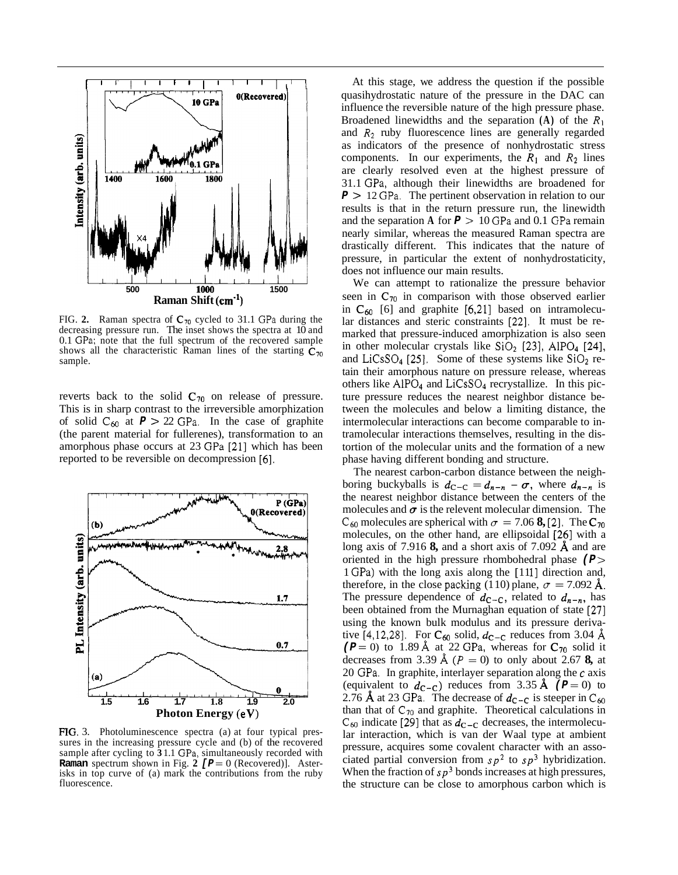

FIG. 2. Raman spectra of  $C_{70}$  cycled to 31.1 GPa during the decreasing pressure run. The inset shows the spectra at 10 and 0.1 GPa; note that the full spectrum of the recovered sample shows all the characteristic Raman lines of the starting  $C_{70}$ sample.

reverts back to the solid  $C_{70}$  on release of pressure. This is in sharp contrast to the irreversible amorphization of solid  $C_{60}$  at  $P > 22$  GPa. In the case of graphite (the parent material for fullerenes), transformation to an amorphous phase occurs at 23 GPa [21] which has been reported to be reversible on decompression [6].



**FIG.** 3. Photoluminescence spectra (a) at four typical pres- sures in the increasing pressure cycle and (b) of the recovered sample after cycling to **3** 1.1 GPa, simultaneously recorded with **Raman** spectrum shown in Fig. 2  $[$ **P**  $=$  0 (Recovered)]. Aster- isks in top curve of (a) mark the contributions from the ruby fluorescence.

At this stage, we address the question if the possible quasihydrostatic nature of the pressure in the DAC can influence the reversible nature of the high pressure phase. Broadened linewidths and the separation **(A)** of the *R1*  and *R2* ruby fluorescence lines are generally regarded as indicators of the presence of nonhydrostatic stress components. In our experiments, the  $R_1$  and  $R_2$  lines are clearly resolved even at the highest pressure of 31.1 GPa, although their linewidths are broadened for *<sup>P</sup>*> 12 GPa. The pertinent observation in relation to our results is that in the return pressure run, the linewidth and the separation **A** for *P* > 10 GPa and 0.1 GPa remain nearly similar, whereas the measured Raman spectra are drastically different. This indicates that the nature of pressure, in particular the extent of nonhydrostaticity, does not influence our main results.

We can attempt to rationalize the pressure behavior seen in  $C_{70}$  in comparison with those observed earlier in  $C_{60}$  [6] and graphite [6,21] based on intramolecular distances and steric constraints [22]. It must be remarked that pressure-induced amorphization is also seen in other molecular crystals like  $SiO<sub>2</sub>$  [23], AlPO<sub>4</sub> [24], and LiCsSO<sub>4</sub> [25]. Some of these systems like  $SiO<sub>2</sub>$  retain their amorphous nature on pressure release, whereas others like AlP04 and LiCsS04 recrystallize. In this picture pressure reduces the nearest neighbor distance between the molecules and below a limiting distance, the intermolecular interactions can become comparable to intramolecular interactions themselves, resulting in the distortion of the molecular units and the formation of a new phase having different bonding and structure.

The nearest carbon-carbon distance between the neighboring buckyballs is  $d_{C-C} = d_{n-n} - \sigma$ , where  $d_{n-n}$  is the nearest neighbor distance between the centers of the molecules and  $\sigma$  is the relevent molecular dimension. The  $C_{60}$  molecules are spherical with  $\sigma = 7.06$  **8**, [2]. The  $C_{70}$ molecules, on the other hand, are ellipsoidal [26] with a long axis of 7.916 **8,** and a short axis of 7.092 **A** and are oriented in the high pressure rhombohedral phase (P > 1 GPa) with the long axis along the [111] direction and, therefore, in the close packing (110) plane,  $\sigma = 7.092 \text{ Å}.$ The pressure dependence of  $d_{C-C}$ , related to  $d_{n-n}$ , has been obtained from the Murnaghan equation of state [27] using the known bulk modulus and its pressure derivative  $[4,12,28]$ . For  $C_{60}$  solid,  $d_{C-C}$  reduces from 3.04 Å  $(P = 0)$  to 1.89 Å at 22 GPa, whereas for  $C_{70}$  solid it decreases from 3.39 Å  $(P = 0)$  to only about 2.67 **8,** at 20 GPa. In graphite, interlayer separation along the *c* axis (equivalent to  $d_{\text{C-C}}$ ) reduces from 3.35 Å ( $P = 0$ ) to 2.76 **A** at 23 GPa. The decrease of  $d_{C-C}$  is steeper in  $C_{60}$ than that of  $C_{70}$  and graphite. Theoretical calculations in  $C_{60}$  indicate [29] that as  $d_{C-C}$  decreases, the intermolecular interaction, which is van der Waal type at ambient pressure, acquires some covalent character with an associated partial conversion from  $s p^2$  to  $s p^3$  hybridization. When the fraction of  $s p<sup>3</sup>$  bonds increases at high pressures, the structure can be close to amorphous carbon which is